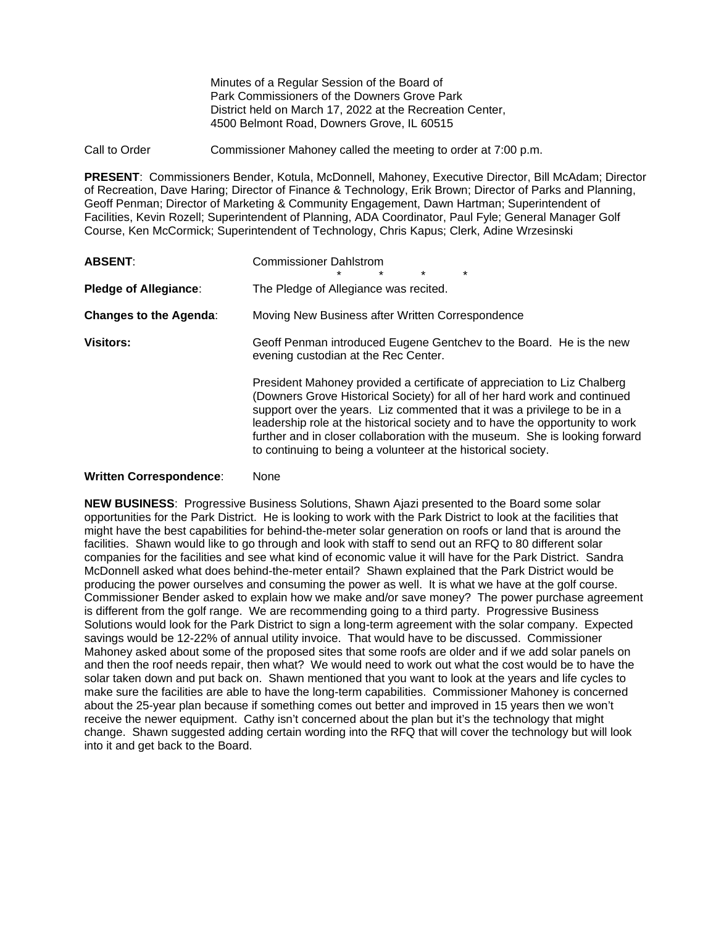Minutes of a Regular Session of the Board of Park Commissioners of the Downers Grove Park District held on March 17, 2022 at the Recreation Center, 4500 Belmont Road, Downers Grove, IL 60515

Call to Order Commissioner Mahoney called the meeting to order at 7:00 p.m.

**PRESENT**: Commissioners Bender, Kotula, McDonnell, Mahoney, Executive Director, Bill McAdam; Director of Recreation, Dave Haring; Director of Finance & Technology, Erik Brown; Director of Parks and Planning, Geoff Penman; Director of Marketing & Community Engagement, Dawn Hartman; Superintendent of Facilities, Kevin Rozell; Superintendent of Planning, ADA Coordinator, Paul Fyle; General Manager Golf Course, Ken McCormick; Superintendent of Technology, Chris Kapus; Clerk, Adine Wrzesinski

| <b>ABSENT:</b>                     | <b>Commissioner Dahlstrom</b><br>$\star$<br>$\star$<br>$\star$<br>$\star$                                                                                                                                                                                                                                                                                                                                                                                          |  |  |
|------------------------------------|--------------------------------------------------------------------------------------------------------------------------------------------------------------------------------------------------------------------------------------------------------------------------------------------------------------------------------------------------------------------------------------------------------------------------------------------------------------------|--|--|
| <b>Pledge of Allegiance:</b>       | The Pledge of Allegiance was recited.                                                                                                                                                                                                                                                                                                                                                                                                                              |  |  |
| <b>Changes to the Agenda:</b>      | Moving New Business after Written Correspondence                                                                                                                                                                                                                                                                                                                                                                                                                   |  |  |
| <b>Visitors:</b>                   | Geoff Penman introduced Eugene Gentchey to the Board. He is the new<br>evening custodian at the Rec Center.                                                                                                                                                                                                                                                                                                                                                        |  |  |
|                                    | President Mahoney provided a certificate of appreciation to Liz Chalberg<br>(Downers Grove Historical Society) for all of her hard work and continued<br>support over the years. Liz commented that it was a privilege to be in a<br>leadership role at the historical society and to have the opportunity to work<br>further and in closer collaboration with the museum. She is looking forward<br>to continuing to being a volunteer at the historical society. |  |  |
| $M_{u}$ :44 $\sim$ Couranned cuas. | $N = 0$                                                                                                                                                                                                                                                                                                                                                                                                                                                            |  |  |

# **Written Correspondence:** None

**NEW BUSINESS**: Progressive Business Solutions, Shawn Ajazi presented to the Board some solar opportunities for the Park District. He is looking to work with the Park District to look at the facilities that might have the best capabilities for behind-the-meter solar generation on roofs or land that is around the facilities. Shawn would like to go through and look with staff to send out an RFQ to 80 different solar companies for the facilities and see what kind of economic value it will have for the Park District. Sandra McDonnell asked what does behind-the-meter entail? Shawn explained that the Park District would be producing the power ourselves and consuming the power as well. It is what we have at the golf course. Commissioner Bender asked to explain how we make and/or save money? The power purchase agreement is different from the golf range. We are recommending going to a third party. Progressive Business Solutions would look for the Park District to sign a long-term agreement with the solar company. Expected savings would be 12-22% of annual utility invoice. That would have to be discussed. Commissioner Mahoney asked about some of the proposed sites that some roofs are older and if we add solar panels on and then the roof needs repair, then what? We would need to work out what the cost would be to have the solar taken down and put back on. Shawn mentioned that you want to look at the years and life cycles to make sure the facilities are able to have the long-term capabilities. Commissioner Mahoney is concerned about the 25-year plan because if something comes out better and improved in 15 years then we won't receive the newer equipment. Cathy isn't concerned about the plan but it's the technology that might change. Shawn suggested adding certain wording into the RFQ that will cover the technology but will look into it and get back to the Board.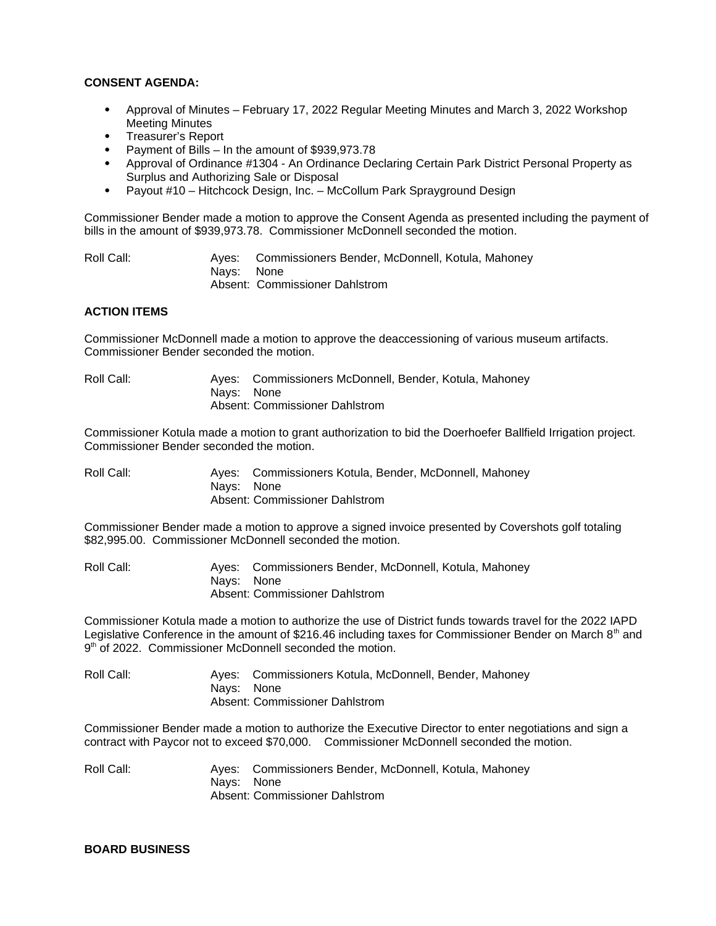### **CONSENT AGENDA:**

- Approval of Minutes February 17, 2022 Regular Meeting Minutes and March 3, 2022 Workshop Meeting Minutes
- Treasurer's Report
- Payment of Bills In the amount of \$939,973.78
- Approval of Ordinance #1304 An Ordinance Declaring Certain Park District Personal Property as Surplus and Authorizing Sale or Disposal
- Payout #10 Hitchcock Design, Inc. McCollum Park Sprayground Design

Commissioner Bender made a motion to approve the Consent Agenda as presented including the payment of bills in the amount of \$939,973.78. Commissioner McDonnell seconded the motion.

Roll Call: Ayes: Commissioners Bender, McDonnell, Kotula, Mahoney Nays: None Absent: Commissioner Dahlstrom

## **ACTION ITEMS**

Commissioner McDonnell made a motion to approve the deaccessioning of various museum artifacts. Commissioner Bender seconded the motion.

Roll Call: Ayes: Commissioners McDonnell, Bender, Kotula, Mahoney Nays: None Absent: Commissioner Dahlstrom

Commissioner Kotula made a motion to grant authorization to bid the Doerhoefer Ballfield Irrigation project. Commissioner Bender seconded the motion.

| Roll Call: |            | Ayes: Commissioners Kotula, Bender, McDonnell, Mahoney |
|------------|------------|--------------------------------------------------------|
|            | Navs: None |                                                        |
|            |            | Absent: Commissioner Dahlstrom                         |

Commissioner Bender made a motion to approve a signed invoice presented by Covershots golf totaling \$82,995.00. Commissioner McDonnell seconded the motion.

Roll Call: Ayes: Commissioners Bender, McDonnell, Kotula, Mahoney Nays: None Absent: Commissioner Dahlstrom

Commissioner Kotula made a motion to authorize the use of District funds towards travel for the 2022 IAPD Legislative Conference in the amount of \$216.46 including taxes for Commissioner Bender on March  $8<sup>th</sup>$  and 9<sup>th</sup> of 2022. Commissioner McDonnell seconded the motion.

Roll Call: Ayes: Commissioners Kotula, McDonnell, Bender, Mahoney Nays: None Absent: Commissioner Dahlstrom

Commissioner Bender made a motion to authorize the Executive Director to enter negotiations and sign a contract with Paycor not to exceed \$70,000. Commissioner McDonnell seconded the motion.

Roll Call: Ayes: Commissioners Bender, McDonnell, Kotula, Mahoney Nays: None Absent: Commissioner Dahlstrom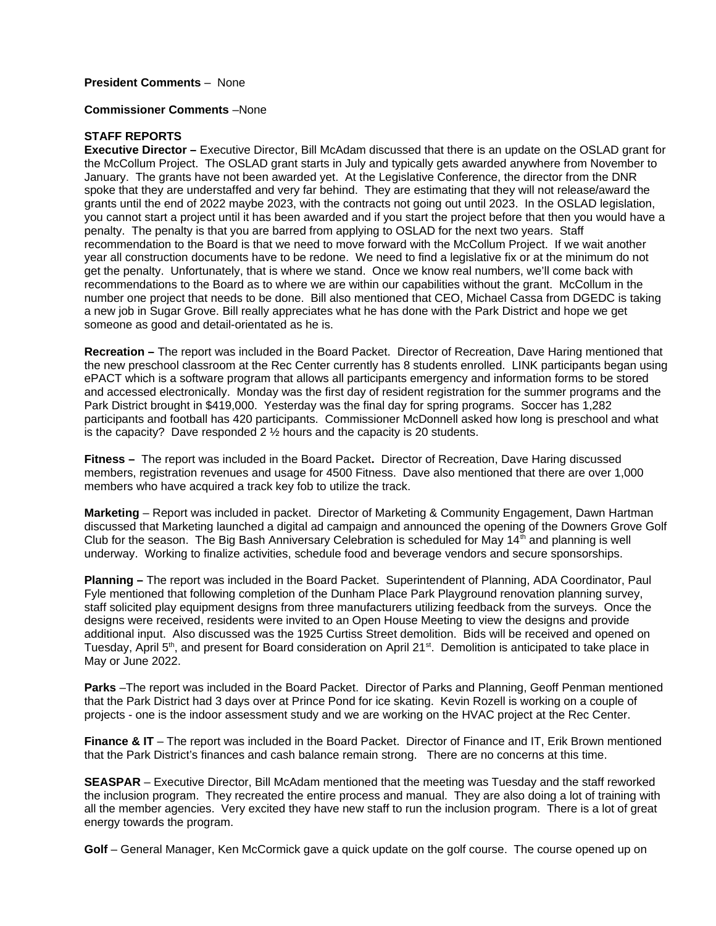## **President Comments** – None

#### **Commissioner Comments** –None

### **STAFF REPORTS**

**Executive Director –** Executive Director, Bill McAdam discussed that there is an update on the OSLAD grant for the McCollum Project. The OSLAD grant starts in July and typically gets awarded anywhere from November to January. The grants have not been awarded yet. At the Legislative Conference, the director from the DNR spoke that they are understaffed and very far behind. They are estimating that they will not release/award the grants until the end of 2022 maybe 2023, with the contracts not going out until 2023. In the OSLAD legislation, you cannot start a project until it has been awarded and if you start the project before that then you would have a penalty. The penalty is that you are barred from applying to OSLAD for the next two years. Staff recommendation to the Board is that we need to move forward with the McCollum Project. If we wait another year all construction documents have to be redone. We need to find a legislative fix or at the minimum do not get the penalty. Unfortunately, that is where we stand. Once we know real numbers, we'll come back with recommendations to the Board as to where we are within our capabilities without the grant. McCollum in the number one project that needs to be done. Bill also mentioned that CEO, Michael Cassa from DGEDC is taking a new job in Sugar Grove. Bill really appreciates what he has done with the Park District and hope we get someone as good and detail-orientated as he is.

**Recreation –** The report was included in the Board Packet.Director of Recreation, Dave Haring mentioned that the new preschool classroom at the Rec Center currently has 8 students enrolled. LINK participants began using ePACT which is a software program that allows all participants emergency and information forms to be stored and accessed electronically. Monday was the first day of resident registration for the summer programs and the Park District brought in \$419,000. Yesterday was the final day for spring programs. Soccer has 1,282 participants and football has 420 participants. Commissioner McDonnell asked how long is preschool and what is the capacity? Dave responded  $2 \frac{1}{2}$  hours and the capacity is 20 students.

**Fitness –** The report was included in the Board Packet**.** Director of Recreation, Dave Haring discussed members, registration revenues and usage for 4500 Fitness. Dave also mentioned that there are over 1,000 members who have acquired a track key fob to utilize the track.

**Marketing** – Report was included in packet. Director of Marketing & Community Engagement, Dawn Hartman discussed that Marketing launched a digital ad campaign and announced the opening of the Downers Grove Golf Club for the season. The Big Bash Anniversary Celebration is scheduled for May  $14<sup>th</sup>$  and planning is well underway. Working to finalize activities, schedule food and beverage vendors and secure sponsorships.

**Planning –** The report was included in the Board Packet. Superintendent of Planning, ADA Coordinator, Paul Fyle mentioned that following completion of the Dunham Place Park Playground renovation planning survey, staff solicited play equipment designs from three manufacturers utilizing feedback from the surveys. Once the designs were received, residents were invited to an Open House Meeting to view the designs and provide additional input. Also discussed was the 1925 Curtiss Street demolition. Bids will be received and opened on Tuesday, April  $5<sup>th</sup>$ , and present for Board consideration on April 21 $st$ . Demolition is anticipated to take place in May or June 2022.

**Parks** –The report was included in the Board Packet. Director of Parks and Planning, Geoff Penman mentioned that the Park District had 3 days over at Prince Pond for ice skating. Kevin Rozell is working on a couple of projects - one is the indoor assessment study and we are working on the HVAC project at the Rec Center.

**Finance & IT** – The report was included in the Board Packet. Director of Finance and IT, Erik Brown mentioned that the Park District's finances and cash balance remain strong. There are no concerns at this time.

**SEASPAR** – Executive Director, Bill McAdam mentioned that the meeting was Tuesday and the staff reworked the inclusion program. They recreated the entire process and manual. They are also doing a lot of training with all the member agencies. Very excited they have new staff to run the inclusion program. There is a lot of great energy towards the program.

**Golf** – General Manager, Ken McCormick gave a quick update on the golf course. The course opened up on